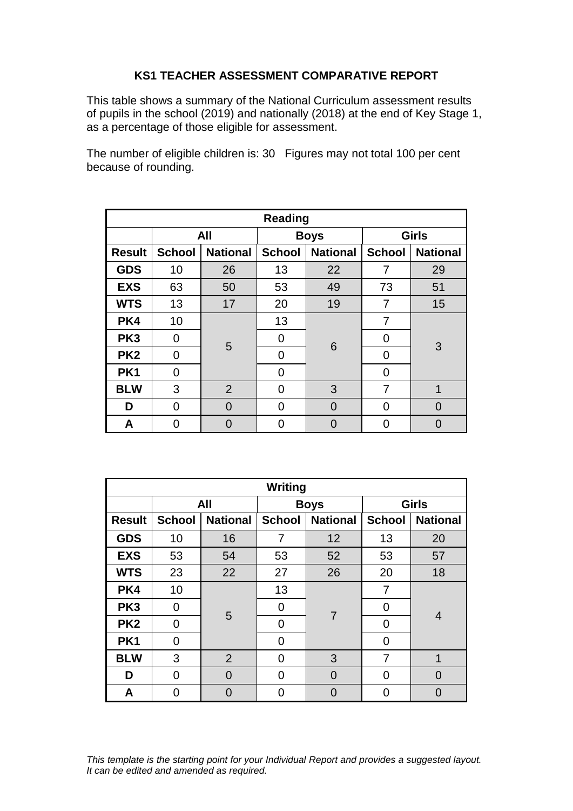## **KS1 TEACHER ASSESSMENT COMPARATIVE REPORT**

This table shows a summary of the National Curriculum assessment results of pupils in the school (2019) and nationally (2018) at the end of Key Stage 1, as a percentage of those eligible for assessment.

The number of eligible children is: 30 Figures may not total 100 per cent because of rounding.

| <b>Reading</b>  |               |                 |               |                 |               |                 |  |
|-----------------|---------------|-----------------|---------------|-----------------|---------------|-----------------|--|
|                 | All           |                 | <b>Boys</b>   |                 | <b>Girls</b>  |                 |  |
| <b>Result</b>   | <b>School</b> | <b>National</b> | <b>School</b> | <b>National</b> | <b>School</b> | <b>National</b> |  |
| <b>GDS</b>      | 10            | 26              | 13            | 22              | 7             | 29              |  |
| <b>EXS</b>      | 63            | 50              | 53            | 49              | 73            | 51              |  |
| <b>WTS</b>      | 13            | 17              | 20            | 19              | 7             | 15              |  |
| PK4             | 10            |                 | 13            | 6               | 7             | 3               |  |
| PK <sub>3</sub> | 0             | 5               | 0             |                 | 0             |                 |  |
| PK <sub>2</sub> | 0             |                 | 0             |                 | 0             |                 |  |
| PK <sub>1</sub> | 0             |                 | 0             |                 | 0             |                 |  |
| <b>BLW</b>      | 3             | $\overline{2}$  | 0             | 3               | 7             | 1               |  |
| D               | 0             | $\Omega$        | 0             | $\Omega$        | 0             | O               |  |
| Α               | U             | O               | 0             |                 | 0             |                 |  |

| Writing         |                |                 |                |                 |               |                 |  |
|-----------------|----------------|-----------------|----------------|-----------------|---------------|-----------------|--|
|                 | All            |                 | <b>Boys</b>    |                 | <b>Girls</b>  |                 |  |
| <b>Result</b>   | <b>School</b>  | <b>National</b> | <b>School</b>  | <b>National</b> | <b>School</b> | <b>National</b> |  |
| <b>GDS</b>      | 10             | 16              | 7              | 12              | 13            | 20              |  |
| <b>EXS</b>      | 53             | 54              | 53             | 52              | 53            | 57              |  |
| <b>WTS</b>      | 23             | 22              | 27             | 26              | 20            | 18              |  |
| PK4             | 10             |                 | 13             | $\overline{7}$  | 7             | 4               |  |
| PK <sub>3</sub> | 0              | 5               | 0              |                 | 0             |                 |  |
| PK <sub>2</sub> | 0              |                 | 0              |                 | 0             |                 |  |
| PK1             | $\Omega$       |                 | $\overline{0}$ |                 | 0             |                 |  |
| <b>BLW</b>      | 3              | $\overline{2}$  | 0              | 3               | 7             | 1               |  |
| D               | $\overline{0}$ | 0               | 0              | 0               | 0             | $\Omega$        |  |
| A               | ∩              | O               | O              |                 | 0             | O               |  |

*This template is the starting point for your Individual Report and provides a suggested layout. It can be edited and amended as required.*